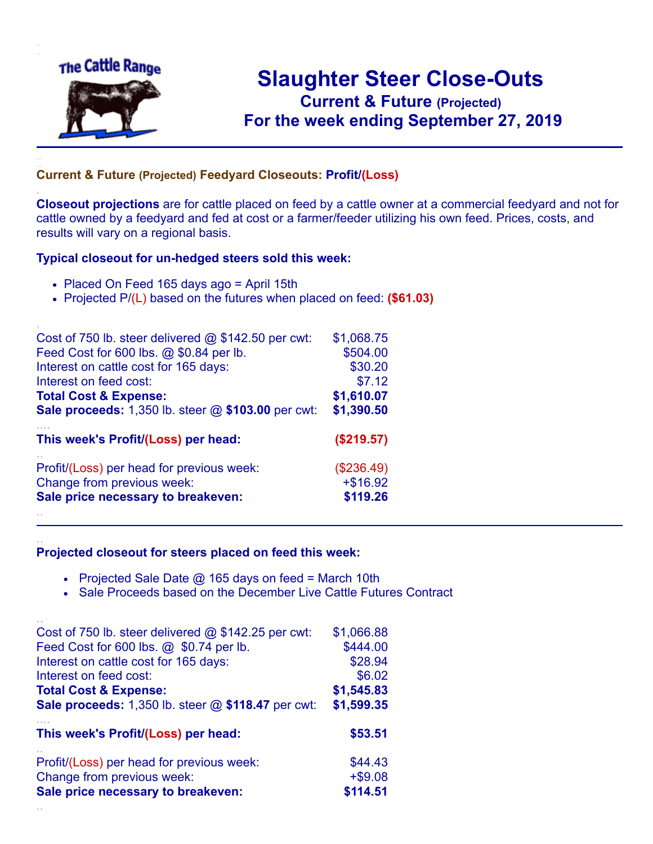

.

..

## **Slaughter Steer Close-Outs Current & Future (Projected)** .**For the week ending September 27, 2019**

## **Current & Future (Projected) Feedyard Closeouts: Profit/(Loss)**

**Closeout projections** are for cattle placed on feed by a cattle owner at a commercial feedyard and not for cattle owned by a feedyard and fed at cost or a farmer/feeder utilizing his own feed. Prices, costs, and results will vary on a regional basis.

## **Typical closeout for un-hedged steers sold this week:**

- Placed On Feed 165 days ago = April 15th
- Projected P/(L) based on the futures when placed on feed: **(\$61.03)**

| Cost of 750 lb. steer delivered $@$ \$142.50 per cwt:     | \$1,068.75  |
|-----------------------------------------------------------|-------------|
| Feed Cost for 600 lbs. @ \$0.84 per lb.                   | \$504.00    |
| Interest on cattle cost for 165 days:                     | \$30.20     |
| Interest on feed cost:                                    | \$7.12      |
| <b>Total Cost &amp; Expense:</b>                          | \$1,610.07  |
| <b>Sale proceeds:</b> 1,350 lb. steer @ \$103.00 per cwt: | \$1,390.50  |
| This week's Profit/(Loss) per head:                       | (\$219.57)  |
| Profit/(Loss) per head for previous week:                 | (\$236.49)  |
| Change from previous week:                                | $+$ \$16.92 |
| Sale price necessary to breakeven:                        | \$119.26    |
|                                                           |             |

## **Projected closeout for steers placed on feed this week:**

- Projected Sale Date  $@$  165 days on feed = March 10th
- Sale Proceeds based on the December Live Cattle Futures Contract

| Cost of 750 lb. steer delivered $@$ \$142.25 per cwt:       | \$1,066.88 |
|-------------------------------------------------------------|------------|
| Feed Cost for 600 lbs. @ \$0.74 per lb.                     | \$444.00   |
| Interest on cattle cost for 165 days:                       | \$28.94    |
| Interest on feed cost:                                      | \$6.02     |
| <b>Total Cost &amp; Expense:</b>                            | \$1,545.83 |
| <b>Sale proceeds:</b> 1,350 lb. steer $@$ \$118.47 per cwt: | \$1,599.35 |
| This week's Profit/(Loss) per head:                         | \$53.51    |
| Profit/(Loss) per head for previous week:                   | \$44.43    |
| Change from previous week:                                  | $+ $9.08$  |
| Sale price necessary to breakeven:                          | \$114.51   |
|                                                             |            |